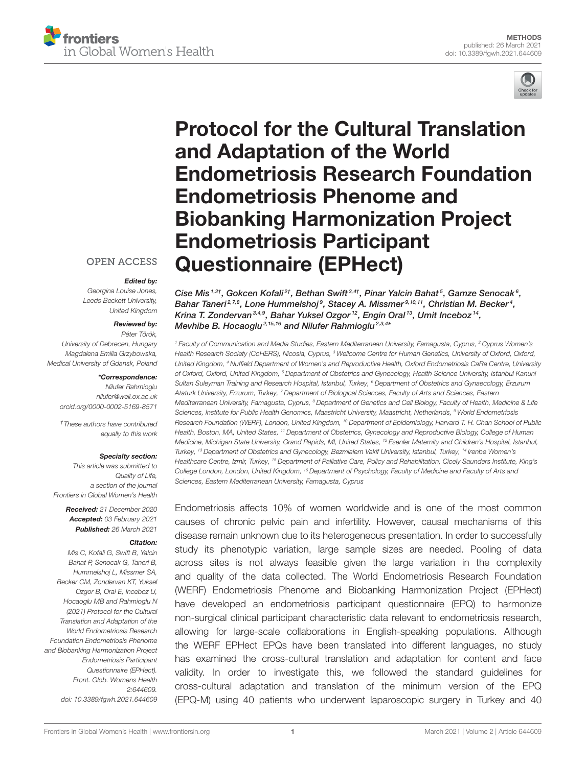



# Protocol for the Cultural Translation and Adaptation of the World [Endometriosis Research Foundation](https://www.frontiersin.org/articles/10.3389/fgwh.2021.644609/full) Endometriosis Phenome and Biobanking Harmonization Project Endometriosis Participant Questionnaire (EPHect)

### **OPEN ACCESS**

#### Edited by:

Georgina Louise Jones, Leeds Beckett University, United Kingdom

#### Reviewed by:

Péter Török, University of Debrecen, Hungary Magdalena Emilia Grzybowska, Medical University of Gdansk, Poland

#### \*Correspondence:

Nilufer Rahmioglu [nilufer@well.ox.ac.uk](mailto:nilufer@well.ox.ac.uk) [orcid.org/0000-0002-5169-8571](http://orcid.org/0000-0002-5169-8571)

†These authors have contributed equally to this work

#### Specialty section:

This article was submitted to Quality of Life, a section of the journal Frontiers in Global Women's Health

> Received: 21 December 2020 Accepted: 03 February 2021 Published: 26 March 2021

#### Citation:

Mis C, Kofali G, Swift B, Yalcin Bahat P, Senocak G, Taneri B, Hummelshoj L, Missmer SA, Becker CM, Zondervan KT, Yuksel Ozgor B, Oral E, Inceboz U, Hocaoglu MB and Rahmioglu N (2021) Protocol for the Cultural Translation and Adaptation of the World Endometriosis Research Foundation Endometriosis Phenome and Biobanking Harmonization Project Endometriosis Participant Questionnaire (EPHect). Front. Glob. Womens Health 2:644609. doi: [10.3389/fgwh.2021.644609](https://doi.org/10.3389/fgwh.2021.644609) Cise Mis $^{1.2\dagger}$ , Gokcen Kofali $^{2\dagger}$ , Bethan Swift $^{3.4\dagger}$ , Pinar Yalcin Bahat $^5$ , Gamze Senocak $^6$ , Bahar Taneri<sup>2,7,8</sup>, Lone Hummelshoj<sup>9</sup>, Stacey A. Missmer<sup>9,10,11</sup>, Christian M. Becker<sup>4</sup>, Krina T. Zondervan<sup>3,4,9</sup>, Bahar Yuksel Ozgor<sup>12</sup>, Engin Oral<sup>13</sup>, Umit Inceboz<sup>14</sup>, Mevhibe B. Hocaoglu<sup>2,15,16</sup> and Nilufer Rahmioglu<sup>2,3,4\*</sup>

<sup>1</sup> Faculty of Communication and Media Studies, Eastern Mediterranean University, Famagusta, Cyprus, <sup>2</sup> Cyprus Women's Health Research Society (CoHERS), Nicosia, Cyprus, <sup>3</sup> Wellcome Centre for Human Genetics, University of Oxford, Oxford, United Kingdom, <sup>4</sup> Nuffield Department of Women's and Reproductive Health, Oxford Endometriosis CaRe Centre, University of Oxford, Oxford, United Kingdom, <sup>5</sup> Department of Obstetrics and Gynecology, Health Science University, Istanbul Kanuni Sultan Suleyman Training and Research Hospital, Istanbul, Turkey, <sup>6</sup> Department of Obstetrics and Gynaecology, Erzurum Ataturk University, Erzurum, Turkey, <sup>7</sup> Department of Biological Sciences, Faculty of Arts and Sciences, Eastern Mediterranean University, Famagusta, Cyprus, <sup>8</sup> Department of Genetics and Cell Biology, Faculty of Health, Medicine & Life Sciences, Institute for Public Health Genomics, Maastricht University, Maastricht, Netherlands, <sup>9</sup> World Endometriosis Research Foundation (WERF), London, United Kingdom, <sup>10</sup> Department of Epidemiology, Harvard T. H. Chan School of Public Health, Boston, MA, United States, <sup>11</sup> Department of Obstetrics, Gynecology and Reproductive Biology, College of Human Medicine, Michigan State University, Grand Rapids, MI, United States, <sup>12</sup> Esenler Maternity and Children's Hospital, Istanbul, Turkey, <sup>13</sup> Department of Obstetrics and Gynecology, Bezmialem Vakif University, Istanbul, Turkey, <sup>14</sup> Irenbe Women's Healthcare Centre, Izmir, Turkey, <sup>15</sup> Department of Palliative Care, Policy and Rehabilitation, Cicely Saunders Institute, King's College London, London, United Kingdom, <sup>16</sup> Department of Psychology, Faculty of Medicine and Faculty of Arts and Sciences, Eastern Mediterranean University, Famagusta, Cyprus

Endometriosis affects 10% of women worldwide and is one of the most common causes of chronic pelvic pain and infertility. However, causal mechanisms of this disease remain unknown due to its heterogeneous presentation. In order to successfully study its phenotypic variation, large sample sizes are needed. Pooling of data across sites is not always feasible given the large variation in the complexity and quality of the data collected. The World Endometriosis Research Foundation (WERF) Endometriosis Phenome and Biobanking Harmonization Project (EPHect) have developed an endometriosis participant questionnaire (EPQ) to harmonize non-surgical clinical participant characteristic data relevant to endometriosis research, allowing for large-scale collaborations in English-speaking populations. Although the WERF EPHect EPQs have been translated into different languages, no study has examined the cross-cultural translation and adaptation for content and face validity. In order to investigate this, we followed the standard guidelines for cross-cultural adaptation and translation of the minimum version of the EPQ (EPQ-M) using 40 patients who underwent laparoscopic surgery in Turkey and 40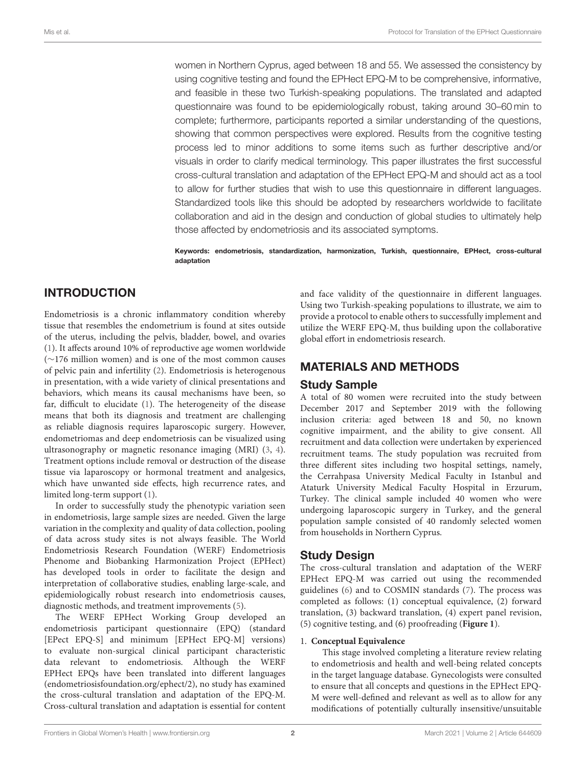women in Northern Cyprus, aged between 18 and 55. We assessed the consistency by using cognitive testing and found the EPHect EPQ-M to be comprehensive, informative, and feasible in these two Turkish-speaking populations. The translated and adapted questionnaire was found to be epidemiologically robust, taking around 30–60 min to complete; furthermore, participants reported a similar understanding of the questions, showing that common perspectives were explored. Results from the cognitive testing process led to minor additions to some items such as further descriptive and/or visuals in order to clarify medical terminology. This paper illustrates the first successful cross-cultural translation and adaptation of the EPHect EPQ-M and should act as a tool to allow for further studies that wish to use this questionnaire in different languages. Standardized tools like this should be adopted by researchers worldwide to facilitate collaboration and aid in the design and conduction of global studies to ultimately help those affected by endometriosis and its associated symptoms.

Keywords: endometriosis, standardization, harmonization, Turkish, questionnaire, EPHect, cross-cultural adaptation

# INTRODUCTION

Endometriosis is a chronic inflammatory condition whereby tissue that resembles the endometrium is found at sites outside of the uterus, including the pelvis, bladder, bowel, and ovaries [\(1\)](#page-5-0). It affects around 10% of reproductive age women worldwide (∼176 million women) and is one of the most common causes of pelvic pain and infertility [\(2\)](#page-5-1). Endometriosis is heterogenous in presentation, with a wide variety of clinical presentations and behaviors, which means its causal mechanisms have been, so far, difficult to elucidate [\(1\)](#page-5-0). The heterogeneity of the disease means that both its diagnosis and treatment are challenging as reliable diagnosis requires laparoscopic surgery. However, endometriomas and deep endometriosis can be visualized using ultrasonography or magnetic resonance imaging (MRI) [\(3,](#page-5-2) [4\)](#page-5-3). Treatment options include removal or destruction of the disease tissue via laparoscopy or hormonal treatment and analgesics, which have unwanted side effects, high recurrence rates, and limited long-term support [\(1\)](#page-5-0).

In order to successfully study the phenotypic variation seen in endometriosis, large sample sizes are needed. Given the large variation in the complexity and quality of data collection, pooling of data across study sites is not always feasible. The World Endometriosis Research Foundation (WERF) Endometriosis Phenome and Biobanking Harmonization Project (EPHect) has developed tools in order to facilitate the design and interpretation of collaborative studies, enabling large-scale, and epidemiologically robust research into endometriosis causes, diagnostic methods, and treatment improvements [\(5\)](#page-5-4).

The WERF EPHect Working Group developed an endometriosis participant questionnaire (EPQ) (standard [EPect EPQ-S] and minimum [EPHect EPQ-M] versions) to evaluate non-surgical clinical participant characteristic data relevant to endometriosis. Although the WERF EPHect EPQs have been translated into different languages (endometriosisfoundation.org/ephect/2), no study has examined the cross-cultural translation and adaptation of the EPQ-M. Cross-cultural translation and adaptation is essential for content and face validity of the questionnaire in different languages. Using two Turkish-speaking populations to illustrate, we aim to provide a protocol to enable others to successfully implement and utilize the WERF EPQ-M, thus building upon the collaborative global effort in endometriosis research.

# MATERIALS AND METHODS

### Study Sample

A total of 80 women were recruited into the study between December 2017 and September 2019 with the following inclusion criteria: aged between 18 and 50, no known cognitive impairment, and the ability to give consent. All recruitment and data collection were undertaken by experienced recruitment teams. The study population was recruited from three different sites including two hospital settings, namely, the Cerrahpasa University Medical Faculty in Istanbul and Ataturk University Medical Faculty Hospital in Erzurum, Turkey. The clinical sample included 40 women who were undergoing laparoscopic surgery in Turkey, and the general population sample consisted of 40 randomly selected women from households in Northern Cyprus.

# Study Design

The cross-cultural translation and adaptation of the WERF EPHect EPQ-M was carried out using the recommended guidelines [\(6\)](#page-5-5) and to COSMIN standards [\(7\)](#page-5-6). The process was completed as follows: (1) conceptual equivalence, (2) forward translation, (3) backward translation, (4) expert panel revision, (5) cognitive testing, and (6) proofreading (**[Figure 1](#page-2-0)**).

#### 1. **Conceptual Equivalence**

This stage involved completing a literature review relating to endometriosis and health and well-being related concepts in the target language database. Gynecologists were consulted to ensure that all concepts and questions in the EPHect EPQ-M were well-defined and relevant as well as to allow for any modifications of potentially culturally insensitive/unsuitable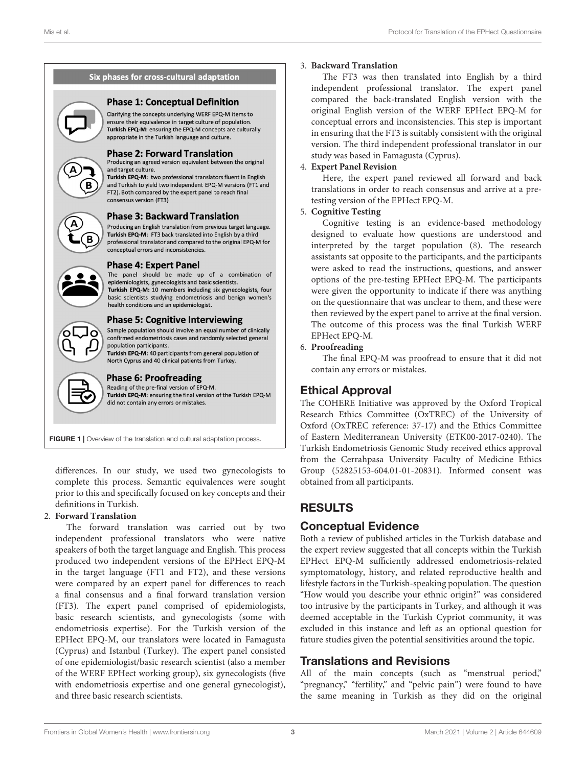

<span id="page-2-0"></span>FIGURE 1 | Overview of the translation and cultural adaptation process.

differences. In our study, we used two gynecologists to complete this process. Semantic equivalences were sought prior to this and specifically focused on key concepts and their definitions in Turkish.

#### 2. **Forward Translation**

The forward translation was carried out by two independent professional translators who were native speakers of both the target language and English. This process produced two independent versions of the EPHect EPQ-M in the target language (FT1 and FT2), and these versions were compared by an expert panel for differences to reach a final consensus and a final forward translation version (FT3). The expert panel comprised of epidemiologists, basic research scientists, and gynecologists (some with endometriosis expertise). For the Turkish version of the EPHect EPQ-M, our translators were located in Famagusta (Cyprus) and Istanbul (Turkey). The expert panel consisted of one epidemiologist/basic research scientist (also a member of the WERF EPHect working group), six gynecologists (five with endometriosis expertise and one general gynecologist), and three basic research scientists.

### 3. **Backward Translation**

The FT3 was then translated into English by a third independent professional translator. The expert panel compared the back-translated English version with the original English version of the WERF EPHect EPQ-M for conceptual errors and inconsistencies. This step is important in ensuring that the FT3 is suitably consistent with the original version. The third independent professional translator in our study was based in Famagusta (Cyprus).

### 4. **Expert Panel Revision**

Here, the expert panel reviewed all forward and back translations in order to reach consensus and arrive at a pretesting version of the EPHect EPQ-M.

#### 5. **Cognitive Testing**

Cognitive testing is an evidence-based methodology designed to evaluate how questions are understood and interpreted by the target population [\(8\)](#page-5-7). The research assistants sat opposite to the participants, and the participants were asked to read the instructions, questions, and answer options of the pre-testing EPHect EPQ-M. The participants were given the opportunity to indicate if there was anything on the questionnaire that was unclear to them, and these were then reviewed by the expert panel to arrive at the final version. The outcome of this process was the final Turkish WERF EPHect EPQ-M.

#### 6. **Proofreading**

The final EPQ-M was proofread to ensure that it did not contain any errors or mistakes.

# Ethical Approval

The COHERE Initiative was approved by the Oxford Tropical Research Ethics Committee (OxTREC) of the University of Oxford (OxTREC reference: 37-17) and the Ethics Committee of Eastern Mediterranean University (ETK00-2017-0240). The Turkish Endometriosis Genomic Study received ethics approval from the Cerrahpasa University Faculty of Medicine Ethics Group (52825153-604.01-01-20831). Informed consent was obtained from all participants.

# RESULTS

# Conceptual Evidence

Both a review of published articles in the Turkish database and the expert review suggested that all concepts within the Turkish EPHect EPQ-M sufficiently addressed endometriosis-related symptomatology, history, and related reproductive health and lifestyle factors in the Turkish-speaking population. The question "How would you describe your ethnic origin?" was considered too intrusive by the participants in Turkey, and although it was deemed acceptable in the Turkish Cypriot community, it was excluded in this instance and left as an optional question for future studies given the potential sensitivities around the topic.

# Translations and Revisions

All of the main concepts (such as "menstrual period," "pregnancy," "fertility," and "pelvic pain") were found to have the same meaning in Turkish as they did on the original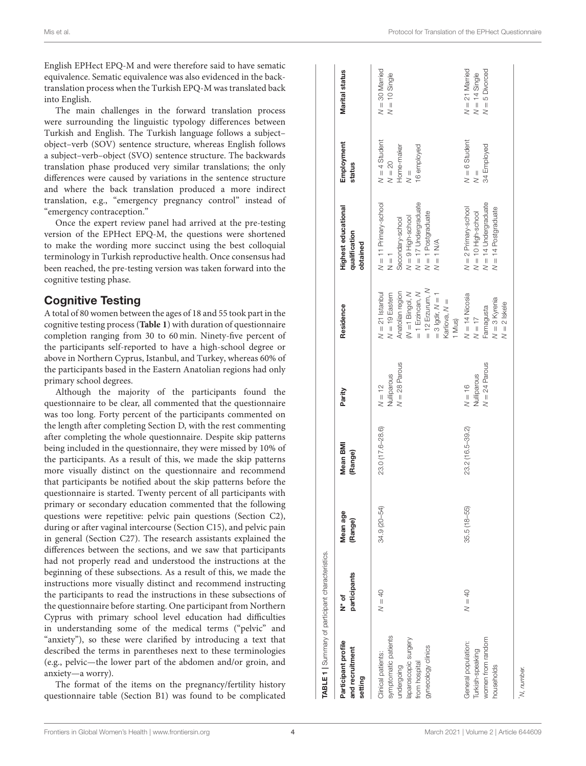English EPHect EPQ-M and were therefore said to have sematic equivalence. Sematic equivalence was also evidenced in the backtranslation process when the Turkish EPQ-M was translated back into English.

The main challenges in the forward translation process were surrounding the linguistic typology differences between Turkish and English. The Turkish language follows a subject– object–verb (SOV) sentence structure, whereas English follows a subject–verb–object (SVO) sentence structure. The backwards translation phase produced very similar translations; the only differences were caused by variations in the sentence structure and where the back translation produced a more indirect translation, e.g., "emergency pregnancy control" instead of "emergency contraception."

Once the expert review panel had arrived at the pre-testing version of the EPHect EPQ-M, the questions were shortened to make the wording more succinct using the best colloquial terminology in Turkish reproductive health. Once consensus had been reached, the pre-testing version was taken forward into the cognitive testing phase.

# Cognitive Testing

A total of 80 women between the ages of 18 and 55 took part in the cognitive testing process (**[Table 1](#page-3-0)**) with duration of questionnaire completion ranging from 30 to 60 min. Ninety-five percent of the participants self-reported to have a high-school degree or above in Northern Cyprus, Istanbul, and Turkey, whereas 60% of the participants based in the Eastern Anatolian regions had only primary school degrees.

Although the majority of the participants found the questionnaire to be clear, all commented that the questionnaire was too long. Forty percent of the participants commented on the length after completing Section D, with the rest commenting after completing the whole questionnaire. Despite skip patterns being included in the questionnaire, they were missed by 10% of the participants. As a result of this, we made the skip patterns more visually distinct on the questionnaire and recommend that participants be notified about the skip patterns before the questionnaire is started. Twenty percent of all participants with primary or secondary education commented that the following questions were repetitive: pelvic pain questions (Section C2), during or after vaginal intercourse (Section C15), and pelvic pain in general (Section C27). The research assistants explained the differences between the sections, and we saw that participants had not properly read and understood the instructions at the beginning of these subsections. As a result of this, we made the instructions more visually distinct and recommend instructing the participants to read the instructions in these subsections of the questionnaire before starting. One participant from Northern Cyprus with primary school level education had difficulties in understanding some of the medical terms ("pelvic" and "anxiety"), so these were clarified by introducing a text that described the terms in parentheses next to these terminologies (e.g., pelvic—the lower part of the abdomen and/or groin, and anxiety—a worry).

<span id="page-3-0"></span>The format of the items on the pregnancy/fertility history questionnaire table (Section B1) was found to be complicated

| $N = 11$ Primary-school<br>N = 1<br>Secondary-school<br>$N = 9$ High-school<br>$N = 17$ Undergraduate<br>$N = 1$ Postgraduate<br>$N = 14$ Undergraduate<br>$N = 2$ Primary-school<br>$N = 10$ High-school<br>$N = 14$ Postgraduate<br>$N = 1$ N/A<br>$= 12$ Erzurum, N<br>$M = 1$ Bingol, $N = 1$ Erzincan, $N$<br>$N = 21$ Istanbul<br>$N = 19$ Eastern<br>Anatolian region<br>$= 3$ lgdir, $N = 1$<br>$N = 14$ Nicosia<br>$N = 3$ Kyrenia<br>Karliova, N =<br>Famagusta<br>1 Mus)<br>$N = 17$<br>$N = 28$ Parous<br>$N = 24$ Parous<br>Nulliparous<br>$N = 12$<br>Nulliparous<br>$N = 16$<br>23.0 (17.6-28.6)<br>23.2 (16.5-39.2)<br>34.9 (20-54)<br>$35.5(18 - 55)$<br>$N = 40$<br>$N = 40$<br>symptomatic patients<br>women from random<br>laparoscopic surgery<br>General population:<br>gynecology clinics<br>Turkish-speaking<br>Clinical patients:<br>from hospital<br>undergoing<br>households | Participant profile<br>and recruitment<br>setting | participants<br>N* of | Mean age<br>(Range) | Mean BMI<br>(Range) | Parity | Residence      | Highest educational<br>qualification<br>obtained | Employment<br>status                                                      | <b>Marital status</b>                                   |
|---------------------------------------------------------------------------------------------------------------------------------------------------------------------------------------------------------------------------------------------------------------------------------------------------------------------------------------------------------------------------------------------------------------------------------------------------------------------------------------------------------------------------------------------------------------------------------------------------------------------------------------------------------------------------------------------------------------------------------------------------------------------------------------------------------------------------------------------------------------------------------------------------------|---------------------------------------------------|-----------------------|---------------------|---------------------|--------|----------------|--------------------------------------------------|---------------------------------------------------------------------------|---------------------------------------------------------|
|                                                                                                                                                                                                                                                                                                                                                                                                                                                                                                                                                                                                                                                                                                                                                                                                                                                                                                         |                                                   |                       |                     |                     |        |                |                                                  | $N = 4$ Student<br>$N = 20$<br>16 employed<br>Home-maker<br>$\frac{1}{2}$ | $N = 30$ Married<br>$N = 10$ Single                     |
|                                                                                                                                                                                                                                                                                                                                                                                                                                                                                                                                                                                                                                                                                                                                                                                                                                                                                                         |                                                   |                       |                     |                     |        | $N = 2$ Iskele |                                                  | $N = 6$ Student<br>34 Employed<br>$\frac{1}{2}$                           | $N = 21$ Married<br>$N = 5$ Divorced<br>$N = 14$ Single |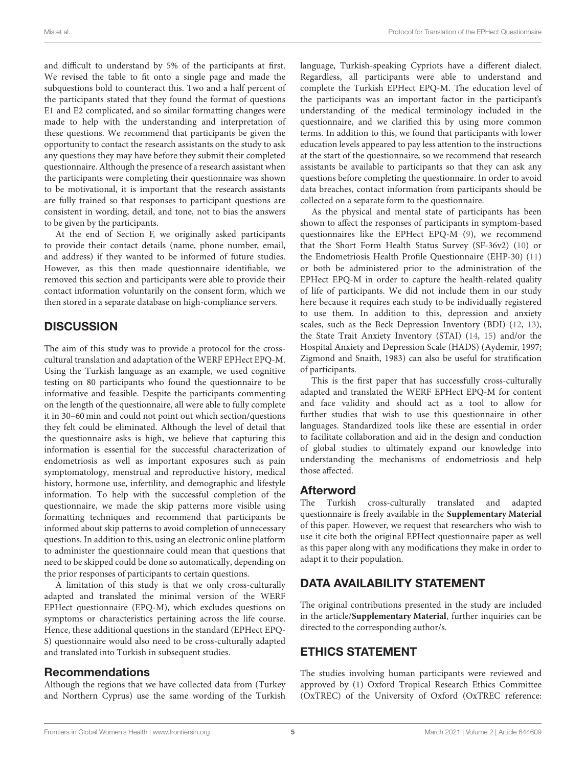and difficult to understand by 5% of the participants at first. We revised the table to fit onto a single page and made the subquestions bold to counteract this. Two and a half percent of the participants stated that they found the format of questions E1 and E2 complicated, and so similar formatting changes were made to help with the understanding and interpretation of these questions. We recommend that participants be given the opportunity to contact the research assistants on the study to ask any questions they may have before they submit their completed questionnaire. Although the presence of a research assistant when the participants were completing their questionnaire was shown to be motivational, it is important that the research assistants are fully trained so that responses to participant questions are consistent in wording, detail, and tone, not to bias the answers to be given by the participants.

At the end of Section F, we originally asked participants to provide their contact details (name, phone number, email, and address) if they wanted to be informed of future studies. However, as this then made questionnaire identifiable, we removed this section and participants were able to provide their contact information voluntarily on the consent form, which we then stored in a separate database on high-compliance servers.

# **DISCUSSION**

The aim of this study was to provide a protocol for the crosscultural translation and adaptation of the WERF EPHect EPQ-M. Using the Turkish language as an example, we used cognitive testing on 80 participants who found the questionnaire to be informative and feasible. Despite the participants commenting on the length of the questionnaire, all were able to fully complete it in 30–60 min and could not point out which section/questions they felt could be eliminated. Although the level of detail that the questionnaire asks is high, we believe that capturing this information is essential for the successful characterization of endometriosis as well as important exposures such as pain symptomatology, menstrual and reproductive history, medical history, hormone use, infertility, and demographic and lifestyle information. To help with the successful completion of the questionnaire, we made the skip patterns more visible using formatting techniques and recommend that participants be informed about skip patterns to avoid completion of unnecessary questions. In addition to this, using an electronic online platform to administer the questionnaire could mean that questions that need to be skipped could be done so automatically, depending on the prior responses of participants to certain questions.

A limitation of this study is that we only cross-culturally adapted and translated the minimal version of the WERF EPHect questionnaire (EPQ-M), which excludes questions on symptoms or characteristics pertaining across the life course. Hence, these additional questions in the standard (EPHect EPQ-S) questionnaire would also need to be cross-culturally adapted and translated into Turkish in subsequent studies.

### Recommendations

Although the regions that we have collected data from (Turkey and Northern Cyprus) use the same wording of the Turkish language, Turkish-speaking Cypriots have a different dialect. Regardless, all participants were able to understand and complete the Turkish EPHect EPQ-M. The education level of the participants was an important factor in the participant's understanding of the medical terminology included in the questionnaire, and we clarified this by using more common terms. In addition to this, we found that participants with lower education levels appeared to pay less attention to the instructions at the start of the questionnaire, so we recommend that research assistants be available to participants so that they can ask any questions before completing the questionnaire. In order to avoid data breaches, contact information from participants should be collected on a separate form to the questionnaire.

As the physical and mental state of participants has been shown to affect the responses of participants in symptom-based questionnaires like the EPHect EPQ-M [\(9\)](#page-5-8), we recommend that the Short Form Health Status Survey (SF-36v2) [\(10\)](#page-5-9) or the Endometriosis Health Profile Questionnaire (EHP-30) [\(11\)](#page-5-10) or both be administered prior to the administration of the EPHect EPQ-M in order to capture the health-related quality of life of participants. We did not include them in our study here because it requires each study to be individually registered to use them. In addition to this, depression and anxiety scales, such as the Beck Depression Inventory (BDI) [\(12,](#page-5-11) [13\)](#page-5-12), the State Trait Anxiety Inventory (STAI) [\(14,](#page-5-13) [15\)](#page-5-14) and/or the Hospital Anxiety and Depression Scale (HADS) (Aydemir, 1997; Zigmond and Snaith, 1983) can also be useful for stratification of participants.

This is the first paper that has successfully cross-culturally adapted and translated the WERF EPHect EPQ-M for content and face validity and should act as a tool to allow for further studies that wish to use this questionnaire in other languages. Standardized tools like these are essential in order to facilitate collaboration and aid in the design and conduction of global studies to ultimately expand our knowledge into understanding the mechanisms of endometriosis and help those affected.

# Afterword

The Turkish cross-culturally translated and adapted questionnaire is freely available in the **[Supplementary Material](#page-5-15)** of this paper. However, we request that researchers who wish to use it cite both the original EPHect questionnaire paper as well as this paper along with any modifications they make in order to adapt it to their population.

# DATA AVAILABILITY STATEMENT

The original contributions presented in the study are included in the article/**[Supplementary Material](#page-5-16)**, further inquiries can be directed to the corresponding author/s.

# ETHICS STATEMENT

The studies involving human participants were reviewed and approved by (1) Oxford Tropical Research Ethics Committee (OxTREC) of the University of Oxford (OxTREC reference: